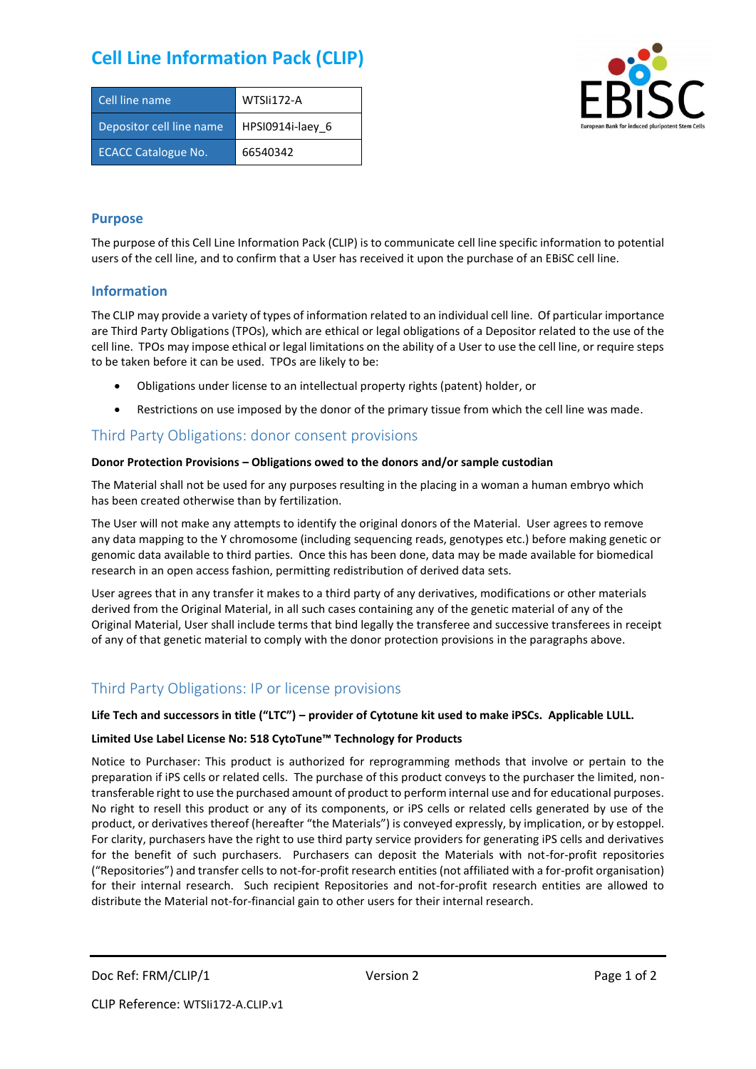# **Cell Line Information Pack (CLIP)**

| Cell line name             | WTSIi172-A       |
|----------------------------|------------------|
| Depositor cell line name   | HPSI0914i-laey 6 |
| <b>ECACC Catalogue No.</b> | 66540342         |



## **Purpose**

The purpose of this Cell Line Information Pack (CLIP) is to communicate cell line specific information to potential users of the cell line, and to confirm that a User has received it upon the purchase of an EBiSC cell line.

## **Information**

The CLIP may provide a variety of types of information related to an individual cell line. Of particular importance are Third Party Obligations (TPOs), which are ethical or legal obligations of a Depositor related to the use of the cell line. TPOs may impose ethical or legal limitations on the ability of a User to use the cell line, or require steps to be taken before it can be used. TPOs are likely to be:

- Obligations under license to an intellectual property rights (patent) holder, or
- Restrictions on use imposed by the donor of the primary tissue from which the cell line was made.

## Third Party Obligations: donor consent provisions

#### **Donor Protection Provisions – Obligations owed to the donors and/or sample custodian**

The Material shall not be used for any purposes resulting in the placing in a woman a human embryo which has been created otherwise than by fertilization.

The User will not make any attempts to identify the original donors of the Material. User agrees to remove any data mapping to the Y chromosome (including sequencing reads, genotypes etc.) before making genetic or genomic data available to third parties. Once this has been done, data may be made available for biomedical research in an open access fashion, permitting redistribution of derived data sets.

User agrees that in any transfer it makes to a third party of any derivatives, modifications or other materials derived from the Original Material, in all such cases containing any of the genetic material of any of the Original Material, User shall include terms that bind legally the transferee and successive transferees in receipt of any of that genetic material to comply with the donor protection provisions in the paragraphs above.

# Third Party Obligations: IP or license provisions

#### **Life Tech and successors in title ("LTC") – provider of Cytotune kit used to make iPSCs. Applicable LULL.**

#### **Limited Use Label License No: 518 CytoTune™ Technology for Products**

Notice to Purchaser: This product is authorized for reprogramming methods that involve or pertain to the preparation if iPS cells or related cells. The purchase of this product conveys to the purchaser the limited, nontransferable right to use the purchased amount of product to perform internal use and for educational purposes. No right to resell this product or any of its components, or iPS cells or related cells generated by use of the product, or derivatives thereof (hereafter "the Materials") is conveyed expressly, by implication, or by estoppel. For clarity, purchasers have the right to use third party service providers for generating iPS cells and derivatives for the benefit of such purchasers. Purchasers can deposit the Materials with not-for-profit repositories ("Repositories") and transfer cells to not-for-profit research entities (not affiliated with a for-profit organisation) for their internal research. Such recipient Repositories and not-for-profit research entities are allowed to distribute the Material not-for-financial gain to other users for their internal research.

Doc Ref: FRM/CLIP/1 Version 2 Version 2 Page 1 of 2